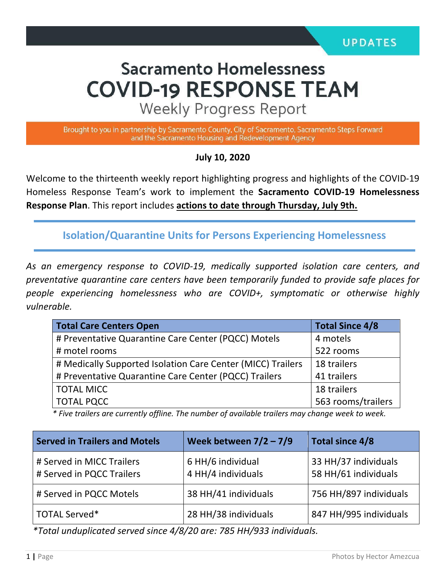# **Sacramento Homelessness COVID-19 RESPONSE TEAM**

**Weekly Progress Report** 

Brought to you in partnership by Sacramento County, City of Sacramento, Sacramento Steps Forward and the Sacramento Housing and Redevelopment Agency

#### **July 10, 2020**

Welcome to the thirteenth weekly report highlighting progress and highlights of the COVID-19 Homeless Response Team's work to implement the **Sacramento COVID-19 Homelessness Response Plan**. This report includes **actions to date through Thursday, July 9th.**

**Isolation/Quarantine Units for Persons Experiencing Homelessness**

*As an emergency response to COVID-19, medically supported isolation care centers, and preventative quarantine care centers have been temporarily funded to provide safe places for people experiencing homelessness who are COVID+, symptomatic or otherwise highly vulnerable.*

| <b>Total Care Centers Open</b>                              | <b>Total Since 4/8</b> |
|-------------------------------------------------------------|------------------------|
| # Preventative Quarantine Care Center (PQCC) Motels         | 4 motels               |
| # motel rooms                                               | 522 rooms              |
| # Medically Supported Isolation Care Center (MICC) Trailers | 18 trailers            |
| # Preventative Quarantine Care Center (PQCC) Trailers       | 41 trailers            |
| <b>TOTAL MICC</b>                                           | 18 trailers            |
| <b>TOTAL PQCC</b>                                           | 563 rooms/trailers     |

*\* Five trailers are currently offline. The number of available trailers may change week to week.*

| <b>Served in Trailers and Motels</b>                   | Week between $7/2 - 7/9$                | Total since 4/8                              |
|--------------------------------------------------------|-----------------------------------------|----------------------------------------------|
| # Served in MICC Trailers<br># Served in PQCC Trailers | 6 HH/6 individual<br>4 HH/4 individuals | 33 HH/37 individuals<br>58 HH/61 individuals |
| # Served in PQCC Motels                                | 38 HH/41 individuals                    | 756 HH/897 individuals                       |
| TOTAL Served*                                          | 28 HH/38 individuals                    | 847 HH/995 individuals                       |

*\*Total unduplicated served since 4/8/20 are: 785 HH/933 individuals.*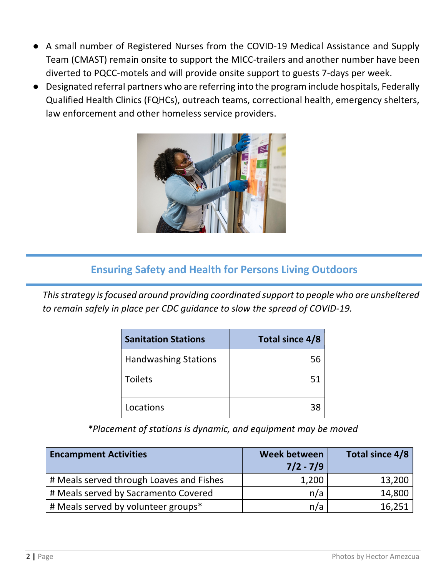- A small number of Registered Nurses from the COVID-19 Medical Assistance and Supply Team (CMAST) remain onsite to support the MICC-trailers and another number have been diverted to PQCC-motels and will provide onsite support to guests 7-days per week.
- Designated referral partners who are referring into the program include hospitals, Federally Qualified Health Clinics (FQHCs), outreach teams, correctional health, emergency shelters, law enforcement and other homeless service providers.



# **Ensuring Safety and Health for Persons Living Outdoors**

*This strategy is focused around providing coordinated support to people who are unsheltered to remain safely in place per CDC guidance to slow the spread of COVID-19.*

| <b>Sanitation Stations</b>  | Total since 4/8 |
|-----------------------------|-----------------|
| <b>Handwashing Stations</b> | 56              |
| <b>Toilets</b>              | 51              |
| Locations                   | 38              |

*\*Placement of stations is dynamic, and equipment may be moved*

| <b>Encampment Activities</b>             | Week between<br>$7/2 - 7/9$ | Total since 4/8 |
|------------------------------------------|-----------------------------|-----------------|
| # Meals served through Loaves and Fishes | 1,200                       | 13,200          |
| # Meals served by Sacramento Covered     | n/a                         | 14,800          |
| # Meals served by volunteer groups*      | n/a                         | 16,251          |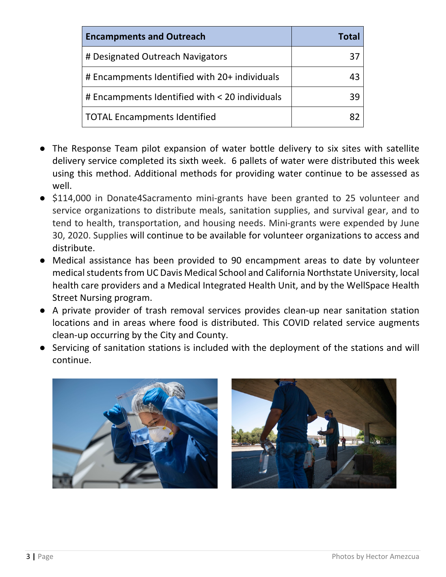| <b>Encampments and Outreach</b>                | <b>Total</b> |
|------------------------------------------------|--------------|
| # Designated Outreach Navigators               | 37           |
| # Encampments Identified with 20+ individuals  | 43           |
| # Encampments Identified with < 20 individuals | 39           |
| <b>TOTAL Encampments Identified</b>            | 87           |

- The Response Team pilot expansion of water bottle delivery to six sites with satellite delivery service completed its sixth week. 6 pallets of water were distributed this week using this method. Additional methods for providing water continue to be assessed as well.
- \$114,000 in Donate4Sacramento mini-grants have been granted to 25 volunteer and service organizations to distribute meals, sanitation supplies, and survival gear, and to tend to health, transportation, and housing needs. Mini-grants were expended by June 30, 2020. Supplies will continue to be available for volunteer organizations to access and distribute.
- Medical assistance has been provided to 90 encampment areas to date by volunteer medical students from UC Davis Medical School and California Northstate University, local health care providers and a Medical Integrated Health Unit, and by the WellSpace Health Street Nursing program.
- A private provider of trash removal services provides clean-up near sanitation station locations and in areas where food is distributed. This COVID related service augments clean-up occurring by the City and County.
- Servicing of sanitation stations is included with the deployment of the stations and will continue.



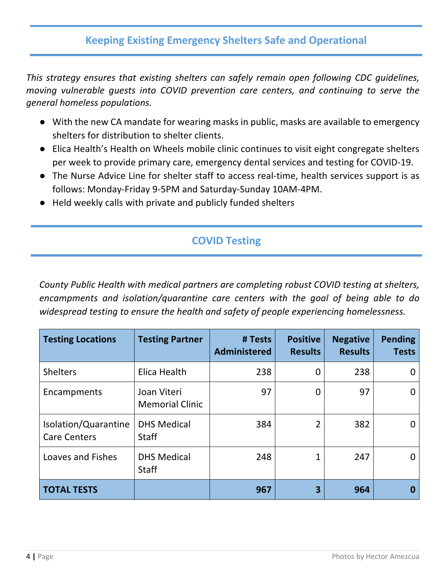# **Keeping Existing Emergency Shelters Safe and Operational**

*This strategy ensures that existing shelters can safely remain open following CDC guidelines, moving vulnerable guests into COVID prevention care centers, and continuing to serve the general homeless populations.* 

- With the new CA mandate for wearing masks in public, masks are available to emergency shelters for distribution to shelter clients.
- Elica Health's Health on Wheels mobile clinic continues to visit eight congregate shelters per week to provide primary care, emergency dental services and testing for COVID-19.
- The Nurse Advice Line for shelter staff to access real-time, health services support is as follows: Monday-Friday 9-5PM and Saturday-Sunday 10AM-4PM.
- Held weekly calls with private and publicly funded shelters

# **COVID Testing**

*County Public Health with medical partners are completing robust COVID testing at shelters, encampments and isolation/quarantine care centers with the goal of being able to do widespread testing to ensure the health and safety of people experiencing homelessness.* 

| <b>Testing Locations</b>                    | <b>Testing Partner</b>                | # Tests<br><b>Administered</b> | <b>Positive</b><br><b>Results</b> | <b>Negative</b><br><b>Results</b> | <b>Pending</b><br><b>Tests</b> |
|---------------------------------------------|---------------------------------------|--------------------------------|-----------------------------------|-----------------------------------|--------------------------------|
| <b>Shelters</b>                             | Elica Health                          | 238                            | 0                                 | 238                               |                                |
| Encampments                                 | Joan Viteri<br><b>Memorial Clinic</b> | 97                             | 0                                 | 97                                | 0                              |
| Isolation/Quarantine<br><b>Care Centers</b> | <b>DHS Medical</b><br><b>Staff</b>    | 384                            | $\overline{2}$                    | 382                               |                                |
| <b>Loaves and Fishes</b>                    | <b>DHS Medical</b><br><b>Staff</b>    | 248                            |                                   | 247                               |                                |
| <b>TOTAL TESTS</b>                          |                                       | 967                            | 3                                 | 964                               |                                |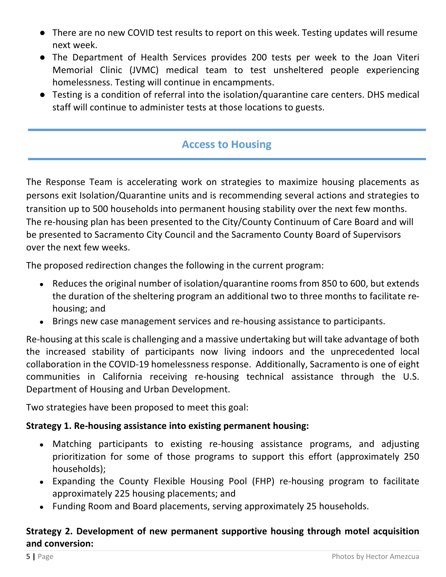- There are no new COVID test results to report on this week. Testing updates will resume next week.
- The Department of Health Services provides 200 tests per week to the Joan Viteri Memorial Clinic (JVMC) medical team to test unsheltered people experiencing homelessness. Testing will continue in encampments.
- Testing is a condition of referral into the isolation/quarantine care centers. DHS medical staff will continue to administer tests at those locations to guests.

## **Access to Housing**

The Response Team is accelerating work on strategies to maximize housing placements as persons exit Isolation/Quarantine units and is recommending several actions and strategies to transition up to 500 households into permanent housing stability over the next few months. The re-housing plan has been presented to the City/County Continuum of Care Board and will be presented to Sacramento City Council and the Sacramento County Board of Supervisors over the next few weeks.

The proposed redirection changes the following in the current program:

- Reduces the original number of isolation/quarantine rooms from 850 to 600, but extends the duration of the sheltering program an additional two to three months to facilitate rehousing; and
- Brings new case management services and re-housing assistance to participants.

Re-housing at this scale is challenging and a massive undertaking but will take advantage of both the increased stability of participants now living indoors and the unprecedented local collaboration in the COVID-19 homelessness response. Additionally, Sacramento is one of eight communities in California receiving re-housing technical assistance through the U.S. Department of Housing and Urban Development.

Two strategies have been proposed to meet this goal:

### **Strategy 1. Re-housing assistance into existing permanent housing:**

- Matching participants to existing re-housing assistance programs, and adjusting prioritization for some of those programs to support this effort (approximately 250 households);
- Expanding the County Flexible Housing Pool (FHP) re-housing program to facilitate approximately 225 housing placements; and
- Funding Room and Board placements, serving approximately 25 households.

#### **Strategy 2. Development of new permanent supportive housing through motel acquisition and conversion:**